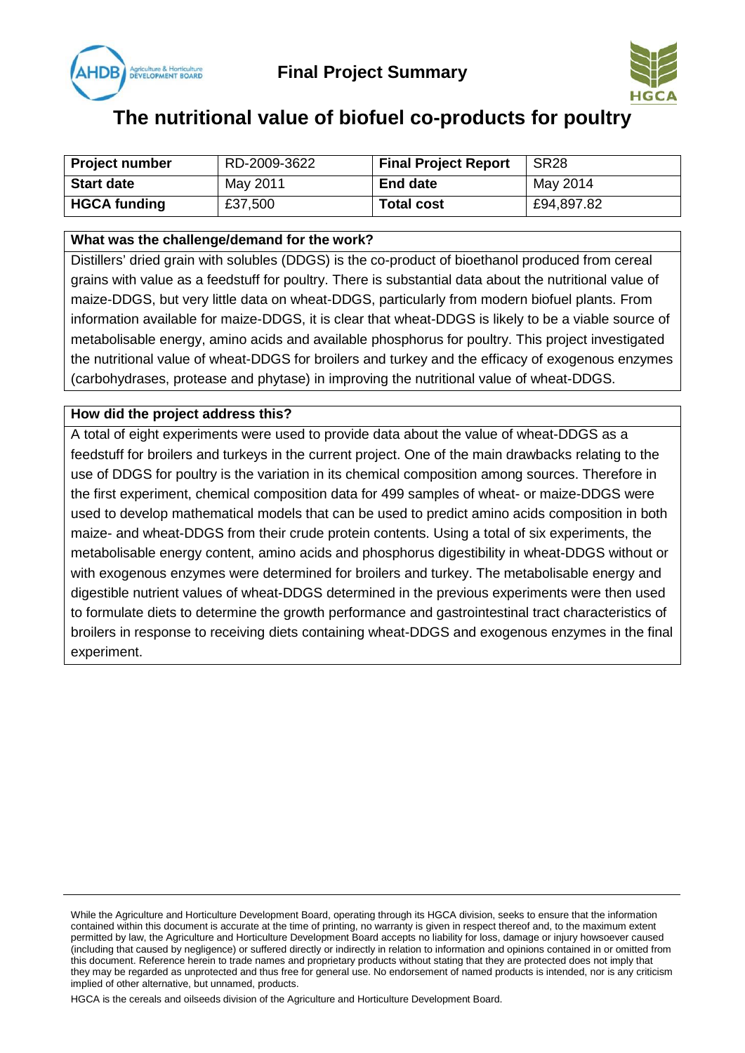



# **The nutritional value of biofuel co-products for poultry**

| <b>Project number</b> | RD-2009-3622 | <b>Final Project Report</b> | SR <sub>28</sub> |
|-----------------------|--------------|-----------------------------|------------------|
| <b>Start date</b>     | May 2011     | <b>End date</b>             | May 2014         |
| <b>HGCA funding</b>   | £37,500      | <b>Total cost</b>           | £94,897.82       |

## **What was the challenge/demand for the work?**

Distillers' dried grain with solubles (DDGS) is the co-product of bioethanol produced from cereal grains with value as a feedstuff for poultry. There is substantial data about the nutritional value of maize-DDGS, but very little data on wheat-DDGS, particularly from modern biofuel plants. From information available for maize-DDGS, it is clear that wheat-DDGS is likely to be a viable source of metabolisable energy, amino acids and available phosphorus for poultry. This project investigated the nutritional value of wheat-DDGS for broilers and turkey and the efficacy of exogenous enzymes (carbohydrases, protease and phytase) in improving the nutritional value of wheat-DDGS.

## **How did the project address this?**

A total of eight experiments were used to provide data about the value of wheat-DDGS as a feedstuff for broilers and turkeys in the current project. One of the main drawbacks relating to the use of DDGS for poultry is the variation in its chemical composition among sources. Therefore in the first experiment, chemical composition data for 499 samples of wheat- or maize-DDGS were used to develop mathematical models that can be used to predict amino acids composition in both maize- and wheat-DDGS from their crude protein contents. Using a total of six experiments, the metabolisable energy content, amino acids and phosphorus digestibility in wheat-DDGS without or with exogenous enzymes were determined for broilers and turkey. The metabolisable energy and digestible nutrient values of wheat-DDGS determined in the previous experiments were then used to formulate diets to determine the growth performance and gastrointestinal tract characteristics of broilers in response to receiving diets containing wheat-DDGS and exogenous enzymes in the final experiment.

While the Agriculture and Horticulture Development Board, operating through its HGCA division, seeks to ensure that the information contained within this document is accurate at the time of printing, no warranty is given in respect thereof and, to the maximum extent permitted by law, the Agriculture and Horticulture Development Board accepts no liability for loss, damage or injury howsoever caused (including that caused by negligence) or suffered directly or indirectly in relation to information and opinions contained in or omitted from this document. Reference herein to trade names and proprietary products without stating that they are protected does not imply that they may be regarded as unprotected and thus free for general use. No endorsement of named products is intended, nor is any criticism implied of other alternative, but unnamed, products.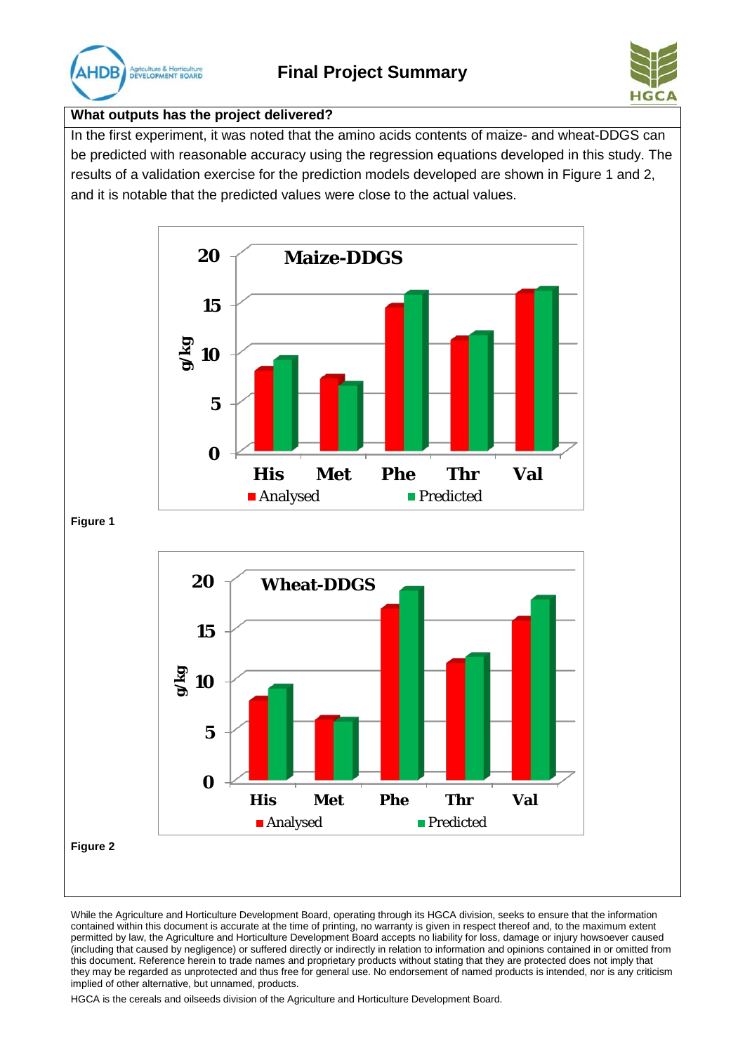



## **What outputs has the project delivered?**

In the first experiment, it was noted that the amino acids contents of maize- and wheat-DDGS can be predicted with reasonable accuracy using the regression equations developed in this study. The results of a validation exercise for the prediction models developed are shown in Figure 1 and 2, and it is notable that the predicted values were close to the actual values.



**Figure 1**



While the Agriculture and Horticulture Development Board, operating through its HGCA division, seeks to ensure that the information contained within this document is accurate at the time of printing, no warranty is given in respect thereof and, to the maximum extent permitted by law, the Agriculture and Horticulture Development Board accepts no liability for loss, damage or injury howsoever caused (including that caused by negligence) or suffered directly or indirectly in relation to information and opinions contained in or omitted from this document. Reference herein to trade names and proprietary products without stating that they are protected does not imply that they may be regarded as unprotected and thus free for general use. No endorsement of named products is intended, nor is any criticism implied of other alternative, but unnamed, products.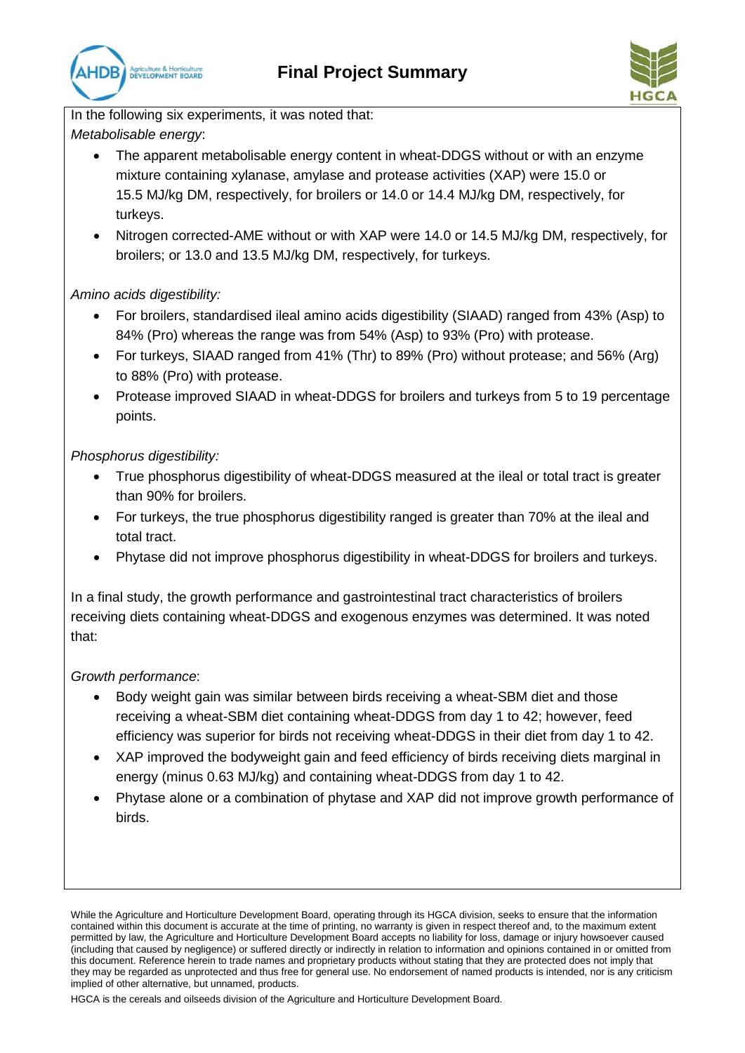



In the following six experiments, it was noted that: *Metabolisable energy*:

- The apparent metabolisable energy content in wheat-DDGS without or with an enzyme mixture containing xylanase, amylase and protease activities (XAP) were 15.0 or 15.5 MJ/kg DM, respectively, for broilers or 14.0 or 14.4 MJ/kg DM, respectively, for turkeys.
- Nitrogen corrected-AME without or with XAP were 14.0 or 14.5 MJ/kg DM, respectively, for broilers; or 13.0 and 13.5 MJ/kg DM, respectively, for turkeys.

# *Amino acids digestibility:*

- For broilers, standardised ileal amino acids digestibility (SIAAD) ranged from 43% (Asp) to 84% (Pro) whereas the range was from 54% (Asp) to 93% (Pro) with protease.
- For turkeys, SIAAD ranged from 41% (Thr) to 89% (Pro) without protease; and 56% (Arg) to 88% (Pro) with protease.
- Protease improved SIAAD in wheat-DDGS for broilers and turkeys from 5 to 19 percentage points.

# *Phosphorus digestibility:*

- True phosphorus digestibility of wheat-DDGS measured at the ileal or total tract is greater than 90% for broilers.
- For turkeys, the true phosphorus digestibility ranged is greater than 70% at the ileal and total tract.
- Phytase did not improve phosphorus digestibility in wheat-DDGS for broilers and turkeys.

In a final study, the growth performance and gastrointestinal tract characteristics of broilers receiving diets containing wheat-DDGS and exogenous enzymes was determined. It was noted that:

# *Growth performance*:

- Body weight gain was similar between birds receiving a wheat-SBM diet and those receiving a wheat-SBM diet containing wheat-DDGS from day 1 to 42; however, feed efficiency was superior for birds not receiving wheat-DDGS in their diet from day 1 to 42.
- XAP improved the bodyweight gain and feed efficiency of birds receiving diets marginal in energy (minus 0.63 MJ/kg) and containing wheat-DDGS from day 1 to 42.
- Phytase alone or a combination of phytase and XAP did not improve growth performance of birds.

While the Agriculture and Horticulture Development Board, operating through its HGCA division, seeks to ensure that the information contained within this document is accurate at the time of printing, no warranty is given in respect thereof and, to the maximum extent permitted by law, the Agriculture and Horticulture Development Board accepts no liability for loss, damage or injury howsoever caused (including that caused by negligence) or suffered directly or indirectly in relation to information and opinions contained in or omitted from this document. Reference herein to trade names and proprietary products without stating that they are protected does not imply that they may be regarded as unprotected and thus free for general use. No endorsement of named products is intended, nor is any criticism implied of other alternative, but unnamed, products.